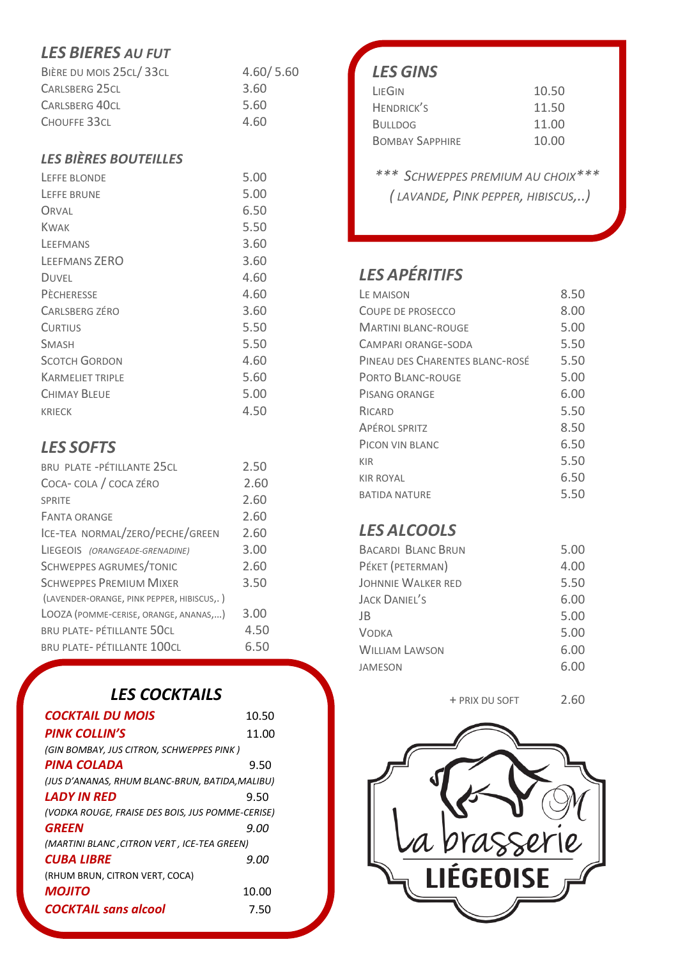# *LES BIERES AU FUT*

| BIÈRE DU MOIS 25CL/33CL | 4.60/5.60 |
|-------------------------|-----------|
| CARLSBERG 25CL          | 3.60      |
| <b>CARLSBERG 40CL</b>   | 5.60      |
| CHOUFFE 33CL            | 4.60      |
|                         |           |

#### *LES BIÈRES BOUTEILLES*

| LEFFE BLONDE            | 5.00 |
|-------------------------|------|
| LEFFE BRUNE             | 5.00 |
| ORVAL                   | 6.50 |
| KWAK                    | 5.50 |
| LEFEMANS                | 3.60 |
| LEEFMANS ZERO           | 3.60 |
| <b>DUVEL</b>            | 4.60 |
| <b>PECHERESSE</b>       | 4.60 |
| CARLSBERG ZÉRO          | 3.60 |
| <b>CURTIUS</b>          | 5.50 |
| <b>SMASH</b>            | 5.50 |
| <b>SCOTCH GORDON</b>    | 4.60 |
| <b>KARMELIET TRIPLE</b> | 5.60 |
| CHIMAY BLEUF            | 5.00 |
| <b>KRIECK</b>           | 4.50 |

## *LES SOFTS*

| BRU PLATE - PÉTILLANTE 25CL                | 2.50 |
|--------------------------------------------|------|
| COCA- COLA / COCA ZÉRO                     | 2.60 |
| SPRITE                                     | 2.60 |
| <b>FANTA ORANGE</b>                        | 2.60 |
| ICE-TEA NORMAL/ZERO/PECHE/GREEN            | 2.60 |
| LIEGEOIS (ORANGEADE-GRENADINE)             | 3.00 |
| SCHWEPPES AGRUMES/TONIC                    | 2.60 |
| <b>SCHWEPPES PREMIUM MIXER</b>             | 3.50 |
| (LAVENDER-ORANGE, PINK PEPPER, HIBISCUS,.) |      |
| LOOZA (POMME-CERISE, ORANGE, ANANAS,)      | 3.00 |
| <b>BRU PLATE- PÉTILLANTE 50CL</b>          | 4.50 |
| <b>BRU PLATE- PÉTILLANTE 100CL</b>         | 6.50 |
|                                            |      |

# *LES COCKTAILS*

| <b>COCKTAIL DU MOIS</b>                          | 10.50 |
|--------------------------------------------------|-------|
| <b>PINK COLLIN'S</b>                             | 11.00 |
| (GIN BOMBAY, JUS CITRON, SCHWEPPES PINK)         |       |
| PINA COLADA                                      | 9.50  |
| (JUS D'ANANAS, RHUM BLANC-BRUN, BATIDA, MALIBU)  |       |
| LADY IN RFD                                      | 9.50  |
| (VODKA ROUGE, FRAISE DES BOIS, JUS POMME-CERISE) |       |
| <b>GREEN</b>                                     | 9.00  |
| (MARTINI BLANC, CITRON VERT, ICE-TEA GREEN)      |       |
| <b>CUBA LIBRE</b>                                | 9.00  |
| (RHUM BRUN, CITRON VERT, COCA)                   |       |
| <b>MOJITO</b>                                    | 10.00 |
| <b>COCKTAIL sans alcool</b>                      | 7.50  |

# *LES GINS*

| LIEGIN                 | 10.50 |
|------------------------|-------|
| <b>HENDRICK'S</b>      | 11.50 |
| <b>BULLDOG</b>         | 11.00 |
| <b>BOMBAY SAPPHIRE</b> | 10.00 |
|                        |       |

*\*\*\* SCHWEPPES PREMIUM AU CHOIX\*\*\* ( LAVANDE, PINK PEPPER, HIBISCUS,..)*

# *LES APÉRITIFS*

| LF MAISON                       | 8.50 |
|---------------------------------|------|
| COUPE DE PROSECCO               | 8.00 |
| MARTINI BI ANC-ROUGF            | 5.00 |
| CAMPARI ORANGE-SODA             | 5.50 |
| PINFAU DES CHARENTES BLANC-ROSÉ | 5.50 |
| <b>PORTO BLANC-ROUGE</b>        | 5.00 |
| PISANG ORANGE                   | 6.00 |
| RICARD                          | 5.50 |
| <b>APÉROL SPRITZ</b>            | 8.50 |
| PICON VIN BLANC                 | 6.50 |
| KIR                             | 5.50 |
| KIR ROYAI                       | 6.50 |
| <b>BATIDA NATURF</b>            | 5.50 |
|                                 |      |

# *LES ALCOOLS*

| BACARDI BLANC BRUN    | 5.00 |
|-----------------------|------|
| PÉKET (PETERMAN)      | 4.00 |
| JOHNNIE WALKER RED    | 5.50 |
| <b>JACK DANIEL'S</b>  | 6.00 |
| JB                    | 5.00 |
| <b>VODKA</b>          | 5.00 |
| <b>WILLIAM LAWSON</b> | 6.00 |
| JAMESON               | 6.00 |
|                       |      |

+ PRIX DU SOFT 2.60